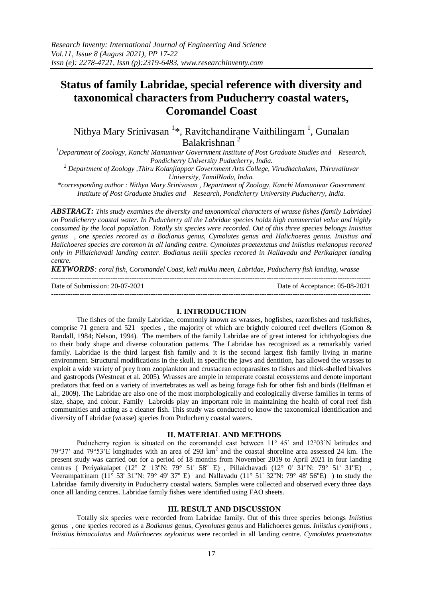# **Status of family Labridae, special reference with diversity and taxonomical characters from Puducherry coastal waters, Coromandel Coast**

Nithya Mary Srinivasan <sup>1</sup>\*, Ravitchandirane Vaithilingam <sup>1</sup>, Gunalan Balakrishnan <sup>2</sup>

*<sup>1</sup>Department of Zoology, Kanchi Mamunivar Government Institute of Post Graduate Studies and Research, Pondicherry University Puducherry, India.*

*<sup>2</sup> Department of Zoology ,Thiru Kolanjiappar Government Arts College, Virudhachalam, Thiruvalluvar University, TamilNadu, India.*

*\*corresponding author : Nithya Mary Srinivasan , Department of Zoology, Kanchi Mamunivar Government Institute of Post Graduate Studies and Research, Pondicherry University Puducherry, India.* 

*ABSTRACT: This study examines the diversity and taxonomical characters of wrasse fishes (family Labridae) on Pondicherry coastal water. In Puducherry all the Labridae species holds high commercial value and highly consumed by the local population. Totally six species were recorded. Out of this three species belongs Iniistius genus , one species recored as a Bodianus genus, Cymolutes genus and Halichoeres genus. Iniistius and Halichoeres species are common in all landing centre. Cymolutes praetextatus and Iniistius melanopus recored only in Pillaichavadi landing center. Bodianus neilli species recored in Nallavadu and Perikalapet landing centre.* 

*KEYWORDS: coral fish, Coromandel Coast, keli mukku meen, Labridae, Puducherry fish landing, wrasse* ---------------------------------------------------------------------------------------------------------------------------------------

Date of Submission: 20-07-2021 Date of Acceptance: 05-08-2021

---------------------------------------------------------------------------------------------------------------------------------------

### **I. INTRODUCTION**

The fishes of the family Labridae, commonly known as wrasses, hogfishes, razorfishes and tuskfishes, comprise 71 genera and 521 species, the majority of which are brightly coloured reef dwellers (Gomon  $\&$ Randall, 1984; Nelson, 1994). The members of the family Labridae are of great interest for ichthyologists due to their body shape and diverse colouration patterns. The Labridae has recognized as a remarkably varied family. Labridae is the third largest fish family and it is the second largest fish family living in marine environment. Structural modifications in the skull, in specific the jaws and dentition, has allowed the wrasses to exploit a wide variety of prey from zooplankton and crustacean ectoparasites to fishes and thick-shelled bivalves and gastropods (Westneat et al. 2005). Wrasses are ample in temperate coastal ecosystems and denote important predators that feed on a variety of invertebrates as well as being forage fish for other fish and birds (Helfman et al., 2009). The Labridae are also one of the most morphologically and ecologically diverse families in terms of size, shape, and colour. Family Labroids play an important role in maintaining the health of coral reef fish communities and acting as a cleaner fish. This study was conducted to know the taxonomical identification and diversity of Labridae (wrasse) species from Puducherry coastal waters.

# **II. MATERIAL AND METHODS**

Puducherry region is situated on the coromandel cast between 11° 45' and 12°03'N latitudes and 79°37' and 79°53'E longitudes with an area of 293  $km^2$  and the coastal shoreline area assessed 24 km. The present study was carried out for a period of 18 months from November 2019 to April 2021 in four landing centres ( Periyakalapet (12° 2' 13"N: 79° 51' 58" E), Pillaichavadi (12° 0' 31"N: 79° 51' 31"E) Veerampattinam (11 $\degree$  53' 31"N: 79 $\degree$  49' 37" E) and Nallavadu (11 $\degree$  51' 32"N: 79 $\degree$  48' 56"E) ) to study the Labridae family diversity in Puducherry coastal waters. Samples were collected and observed every three days once all landing centres. Labridae family fishes were identified using FAO sheets.

# **III. RESULT AND DISCUSSION**

Totally six species were recorded from Labridae family. Out of this three species belongs *Iniistius*  genus , one species recored as a *Bodianus* genus, *Cymolutes* genus and Halichoeres genus. *Iniistius cyanifrons , Iniistius bimaculatus* and *Halichoeres zeylonicus* were recorded in all landing centre. *Cymolutes praetextatus*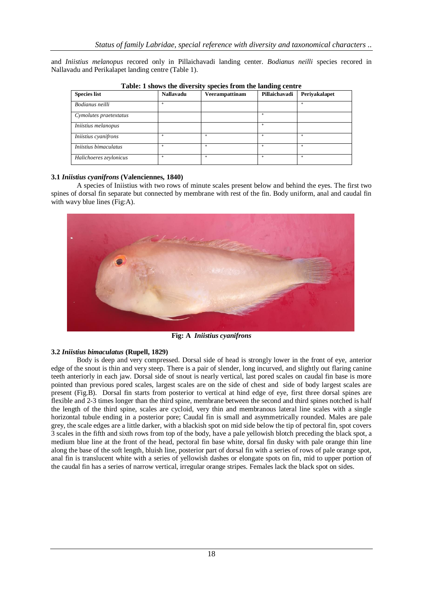and *Iniistius melanopus* recored only in Pillaichavadi landing center. *Bodianus neilli* species recored in Nallavadu and Perikalapet landing centre (Table 1).

| <b>Species list</b>    | <b>Nallavadu</b> | Veerampattinam | Pillaichavadi | Periyakalapet |
|------------------------|------------------|----------------|---------------|---------------|
| Bodianus neilli        | ÷                |                |               | ÷.            |
| Cymolutes praetextatus |                  |                | ÷             |               |
| Iniistius melanopus    |                  |                |               |               |
| Iniistius cyanifrons   |                  |                | ÷.            | ÷             |
| Iniistius bimaculatus  |                  |                |               |               |
| Halichoeres zeylonicus | ÷                | ÷              | ÷             | ÷             |

**Table: 1 shows the diversity species from the landing centre**

## **3.1** *Iniistius cyanifrons* **(Valenciennes, 1840)**

A species of Iniistius with two rows of minute scales present below and behind the eyes. The first two spines of dorsal fin separate but connected by membrane with rest of the fin. Body uniform, anal and caudal fin with wavy blue lines (Fig:A).



**Fig: A** *Iniistius cyanifrons*

### **3.2** *Iniistius bimaculatus* **(Rupell, 1829)**

Body is deep and very compressed. Dorsal side of head is strongly lower in the front of eye, anterior edge of the snout is thin and very steep. There is a pair of slender, long incurved, and slightly out flaring canine teeth anteriorly in each jaw. Dorsal side of snout is nearly vertical, last pored scales on caudal fin base is more pointed than previous pored scales, largest scales are on the side of chest and side of body largest scales are present (Fig.B). Dorsal fin starts from posterior to vertical at hind edge of eye, first three dorsal spines are flexible and 2-3 times longer than the third spine, membrane between the second and third spines notched is half the length of the third spine, scales are cycloid, very thin and membranous lateral line scales with a single horizontal tubule ending in a posterior pore; Caudal fin is small and asymmetrically rounded. Males are pale grey, the scale edges are a little darker, with a blackish spot on mid side below the tip of pectoral fin, spot covers 3 scales in the fifth and sixth rows from top of the body, have a pale yellowish blotch preceding the black spot, a medium blue line at the front of the head, pectoral fin base white, dorsal fin dusky with pale orange thin line along the base of the soft length, bluish line, posterior part of dorsal fin with a series of rows of pale orange spot, anal fin is translucent white with a series of yellowish dashes or elongate spots on fin, mid to upper portion of the caudal fin has a series of narrow vertical, irregular orange stripes. Females lack the black spot on sides.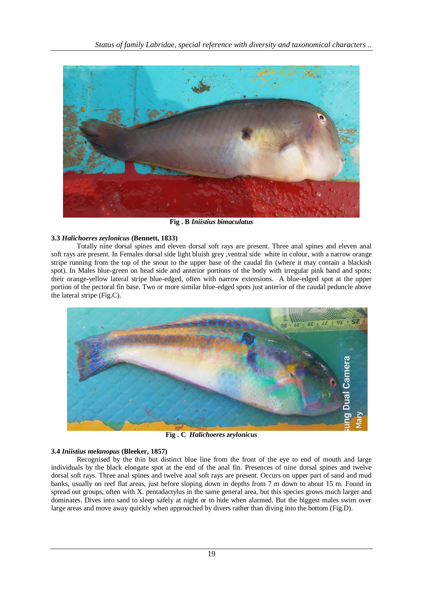

**Fig . B** *Iniistius bimaculatus*

# **3.3** *Halichoeres zeylonicus* **(Bennett, 1833)**

Totally nine dorsal spines and eleven dorsal soft rays are present. Three anal spines and eleven anal soft rays are present. In Females dorsal side light bluish grey ,ventral side white in colour, with a narrow orange stripe running from the top of the snout to the upper base of the caudal fin (where it may contain a blackish spot). In Males blue-green on head side and anterior portions of the body with irregular pink band and spots; their orange-yellow lateral stripe blue-edged, often with narrow extensions. A blue-edged spot at the upper portion of the pectoral fin base. Two or more similar blue-edged spots just anterior of the caudal peduncle above the lateral stripe (Fig.C).



**Fig . C** *Halichoeres zeylonicus*

# **3.4** *Iniistius melanopus* **(Bleeker, 1857)**

Recognised by the thin but distinct blue line from the front of the eye to end of mouth and large individuals by the black elongate spot at the end of the anal fin. Presences of nine dorsal spines and twelve dorsal soft rays. Three anal spines and twelve anal soft rays are present. Occurs on upper part of sand and mud banks, usually on reef flat areas, just before sloping down in depths from 7 m down to about 15 m. Found in spread out groups, often with X. pentadactylus in the same general area, but this species grows much larger and dominates. Dives into sand to sleep safely at night or to hide when alarmed. But the biggest males swim over large areas and move away quickly when approached by divers rather than diving into the bottom (Fig.D).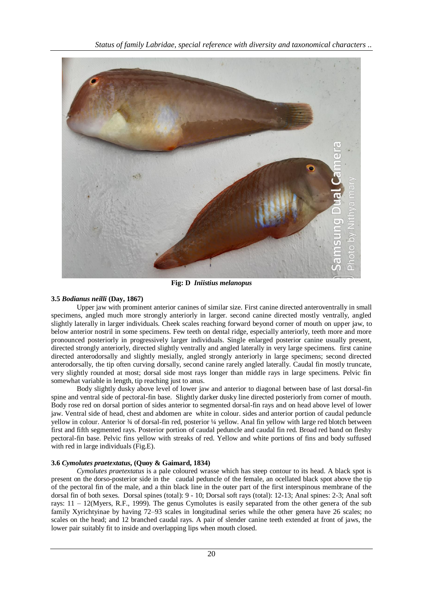*Status of family Labridae, special reference with diversity and taxonomical characters ..*



**Fig: D** *Iniistius melanopus*

# **3.5** *Bodianus neilli* **(Day, 1867)**

Upper jaw with prominent anterior canines of similar size. First canine directed anteroventrally in small specimens, angled much more strongly anteriorly in larger. second canine directed mostly ventrally, angled slightly laterally in larger individuals. Cheek scales reaching forward beyond corner of mouth on upper jaw, to below anterior nostril in some specimens. Few teeth on dental ridge, especially anteriorly, teeth more and more pronounced posteriorly in progressively larger individuals. Single enlarged posterior canine usually present, directed strongly anteriorly, directed slightly ventrally and angled laterally in very large specimens. first canine directed anterodorsally and slightly mesially, angled strongly anteriorly in large specimens; second directed anterodorsally, the tip often curving dorsally, second canine rarely angled laterally. Caudal fin mostly truncate, very slightly rounded at most; dorsal side most rays longer than middle rays in large specimens. Pelvic fin somewhat variable in length, tip reaching just to anus.

Body slightly dusky above level of lower jaw and anterior to diagonal between base of last dorsal-fin spine and ventral side of pectoral-fin base. Slightly darker dusky line directed posteriorly from corner of mouth. Body rose red on dorsal portion of sides anterior to segmented dorsal-fin rays and on head above level of lower jaw. Ventral side of head, chest and abdomen are white in colour. sides and anterior portion of caudal peduncle yellow in colour. Anterior ¾ of dorsal-fin red, posterior ¼ yellow. Anal fin yellow with large red blotch between first and fifth segmented rays. Posterior portion of caudal peduncle and caudal fin red. Broad red band on fleshy pectoral-fin base. Pelvic fins yellow with streaks of red. Yellow and white portions of fins and body suffused with red in large individuals (Fig.E).

# **3.6** *Cymolutes praetextatus***, (Quoy & Gaimard, 1834)**

*Cymolutes praetextatus* is a pale coloured wrasse which has steep contour to its head. A black spot is present on the dorso-posterior side in the caudal peduncle of the female, an ocellated black spot above the tip of the pectoral fin of the male, and a thin black line in the outer part of the first interspinous membrane of the dorsal fin of both sexes. Dorsal spines (total): 9 - 10; Dorsal soft rays (total): 12-13; Anal spines: 2-3; Anal soft rays: 11 – 12(Myers, R.F., 1999). The genus Cymolutes is easily separated from the other genera of the sub family Xyrichtyinae by having 72–93 scales in longitudinal series while the other genera have 26 scales; no scales on the head; and 12 branched caudal rays. A pair of slender canine teeth extended at front of jaws, the lower pair suitably fit to inside and overlapping lips when mouth closed.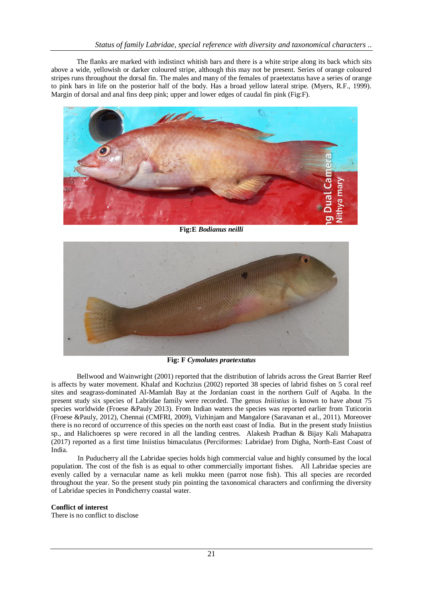The flanks are marked with indistinct whitish bars and there is a white stripe along its back which sits above a wide, yellowish or darker coloured stripe, although this may not be present. Series of orange coloured stripes runs throughout the dorsal fin. The males and many of the females of praetextatus have a series of orange to pink bars in life on the posterior half of the body. Has a broad yellow lateral stripe. (Myers, R.F., 1999). Margin of dorsal and anal fins deep pink; upper and lower edges of caudal fin pink (Fig:F).



**Fig:E** *Bodianus neilli*



**Fig: F** *Cymolutes praetextatus*

Bellwood and Wainwright (2001) reported that the distribution of labrids across the Great Barrier Reef is affects by water movement. Khalaf and Kochzius (2002) reported 38 species of labrid fishes on 5 coral reef sites and seagrass-dominated Al-Mamlah Bay at the Jordanian coast in the northern Gulf of Aqaba. In the present study six species of Labridae family were recorded. The genus *Iniiistius* is known to have about 75 species worldwide (Froese &Pauly 2013). From Indian waters the species was reported earlier from Tuticorin (Froese &Pauly, 2012), Chennai (CMFRI, 2009), Vizhinjam and Mangalore (Saravanan et al., 2011). Moreover there is no record of occurrence of this species on the north east coast of India. But in the present study Iniistius sp., and Halichoeres sp were recored in all the landing centres. Alakesh Pradhan & Bijay Kali Mahapatra (2017) reported as a first time Iniistius bimaculatus (Perciformes: Labridae) from Digha, North-East Coast of India.

 In Puducherry all the Labridae species holds high commercial value and highly consumed by the local population. The cost of the fish is as equal to other commercially important fishes. All Labridae species are evenly called by a vernacular name as keli mukku meen (parrot nose fish). This all species are recorded throughout the year. So the present study pin pointing the taxonomical characters and confirming the diversity of Labridae species in Pondicherry coastal water.

# **Conflict of interest**

There is no conflict to disclose